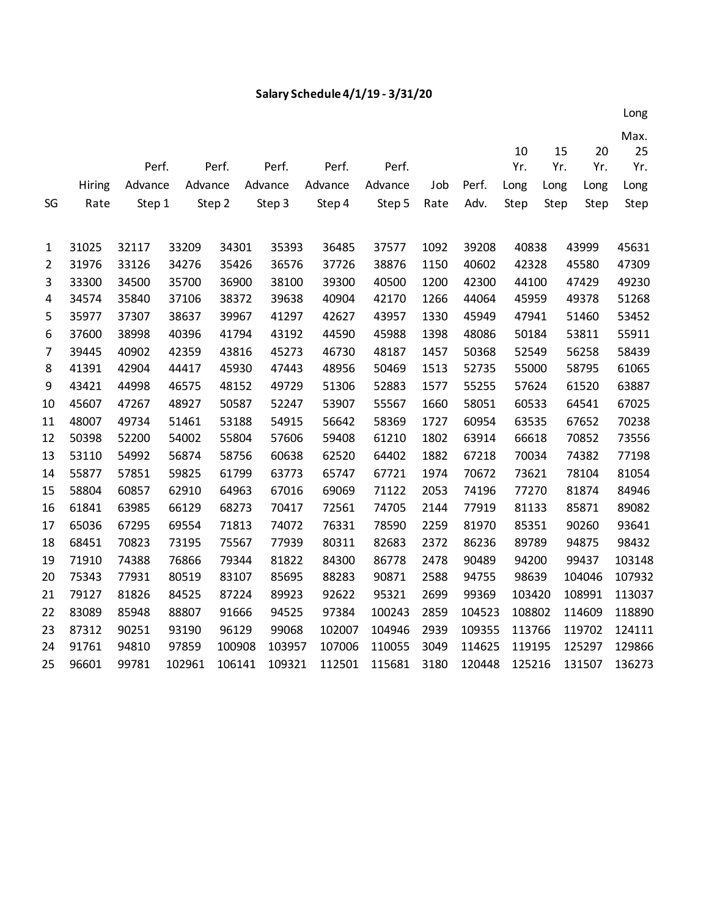## **Salary Schedule 4/1/19 - 3/31/20**

|                |               |         |         |        |         |         |         |      |        | 10     | 15   | 20     | Max.<br>25 |
|----------------|---------------|---------|---------|--------|---------|---------|---------|------|--------|--------|------|--------|------------|
|                |               | Perf.   |         | Perf.  | Perf.   | Perf.   | Perf.   |      |        | Yr.    | Yr.  | Yr.    | Yr.        |
|                | <b>Hiring</b> | Advance | Advance |        | Advance | Advance | Advance | Job  | Perf.  | Long   | Long | Long   | Long       |
| SG             | Rate          | Step 1  |         | Step 2 | Step 3  | Step 4  | Step 5  | Rate | Adv.   | Step   | Step | Step   | Step       |
|                |               |         |         |        |         |         |         |      |        |        |      |        |            |
| 1              | 31025         | 32117   | 33209   | 34301  | 35393   | 36485   | 37577   | 1092 | 39208  | 40838  |      | 43999  | 45631      |
| $\overline{2}$ | 31976         | 33126   | 34276   | 35426  | 36576   | 37726   | 38876   | 1150 | 40602  | 42328  |      | 45580  | 47309      |
| 3              | 33300         | 34500   | 35700   | 36900  | 38100   | 39300   | 40500   | 1200 | 42300  | 44100  |      | 47429  | 49230      |
| 4              | 34574         | 35840   | 37106   | 38372  | 39638   | 40904   | 42170   | 1266 | 44064  | 45959  |      | 49378  | 51268      |
| 5              | 35977         | 37307   | 38637   | 39967  | 41297   | 42627   | 43957   | 1330 | 45949  | 47941  |      | 51460  | 53452      |
| 6              | 37600         | 38998   | 40396   | 41794  | 43192   | 44590   | 45988   | 1398 | 48086  | 50184  |      | 53811  | 55911      |
| 7              | 39445         | 40902   | 42359   | 43816  | 45273   | 46730   | 48187   | 1457 | 50368  | 52549  |      | 56258  | 58439      |
| 8              | 41391         | 42904   | 44417   | 45930  | 47443   | 48956   | 50469   | 1513 | 52735  | 55000  |      | 58795  | 61065      |
| 9              | 43421         | 44998   | 46575   | 48152  | 49729   | 51306   | 52883   | 1577 | 55255  | 57624  |      | 61520  | 63887      |
| 10             | 45607         | 47267   | 48927   | 50587  | 52247   | 53907   | 55567   | 1660 | 58051  | 60533  |      | 64541  | 67025      |
| 11             | 48007         | 49734   | 51461   | 53188  | 54915   | 56642   | 58369   | 1727 | 60954  | 63535  |      | 67652  | 70238      |
| 12             | 50398         | 52200   | 54002   | 55804  | 57606   | 59408   | 61210   | 1802 | 63914  | 66618  |      | 70852  | 73556      |
| 13             | 53110         | 54992   | 56874   | 58756  | 60638   | 62520   | 64402   | 1882 | 67218  | 70034  |      | 74382  | 77198      |
| 14             | 55877         | 57851   | 59825   | 61799  | 63773   | 65747   | 67721   | 1974 | 70672  | 73621  |      | 78104  | 81054      |
| 15             | 58804         | 60857   | 62910   | 64963  | 67016   | 69069   | 71122   | 2053 | 74196  | 77270  |      | 81874  | 84946      |
| 16             | 61841         | 63985   | 66129   | 68273  | 70417   | 72561   | 74705   | 2144 | 77919  | 81133  |      | 85871  | 89082      |
| 17             | 65036         | 67295   | 69554   | 71813  | 74072   | 76331   | 78590   | 2259 | 81970  | 85351  |      | 90260  | 93641      |
| 18             | 68451         | 70823   | 73195   | 75567  | 77939   | 80311   | 82683   | 2372 | 86236  | 89789  |      | 94875  | 98432      |
| 19             | 71910         | 74388   | 76866   | 79344  | 81822   | 84300   | 86778   | 2478 | 90489  | 94200  |      | 99437  | 103148     |
| 20             | 75343         | 77931   | 80519   | 83107  | 85695   | 88283   | 90871   | 2588 | 94755  | 98639  |      | 104046 | 107932     |
| 21             | 79127         | 81826   | 84525   | 87224  | 89923   | 92622   | 95321   | 2699 | 99369  | 103420 |      | 108991 | 113037     |
| 22             | 83089         | 85948   | 88807   | 91666  | 94525   | 97384   | 100243  | 2859 | 104523 | 108802 |      | 114609 | 118890     |
| 23             | 87312         | 90251   | 93190   | 96129  | 99068   | 102007  | 104946  | 2939 | 109355 | 113766 |      | 119702 | 124111     |
| 24             | 91761         | 94810   | 97859   | 100908 | 103957  | 107006  | 110055  | 3049 | 114625 | 119195 |      | 125297 | 129866     |
| 25             | 96601         | 99781   | 102961  | 106141 | 109321  | 112501  | 115681  | 3180 | 120448 | 125216 |      | 131507 | 136273     |

 $1.02 < \lambda < 1.02 < \lambda < 1.02 < \lambda < 1.02 < \lambda < 1.02 < \lambda < 1.02 < \lambda < 1.02 < \lambda < 1.02 < \lambda < 1.02 < \lambda < 1.02 < \lambda < 1.02 < \lambda < 1.02 < \lambda < 1.02 < \lambda < 1.02 < \lambda < 1.02 < \lambda < 1.02 < \lambda < 1.02 < \lambda < 1.02 < \lambda < 1.02 < \lambda < 1.02 < \lambda < 1.02 < \lambda < 1.02 < \lambda < 1.02 < \lambda < 1.02 < \lambda < 1.02$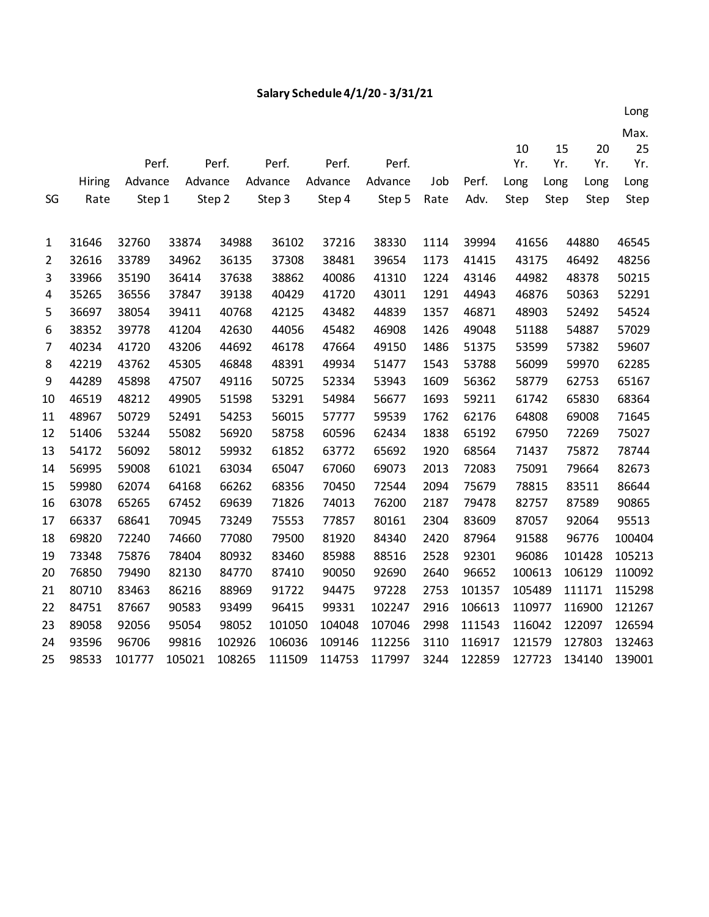## **Salary Schedule 4/1/20 - 3/31/21**

|    |        |         |         |        |         |         |         |      |        |        |      |        | Max.   |
|----|--------|---------|---------|--------|---------|---------|---------|------|--------|--------|------|--------|--------|
|    |        |         |         |        |         |         |         |      |        | 10     | 15   | 20     | 25     |
|    |        | Perf.   |         | Perf.  | Perf.   | Perf.   | Perf.   |      |        | Yr.    | Yr.  | Yr.    | Yr.    |
|    | Hiring | Advance | Advance |        | Advance | Advance | Advance | Job  | Perf.  | Long   | Long | Long   | Long   |
| SG | Rate   | Step 1  |         | Step 2 | Step 3  | Step 4  | Step 5  | Rate | Adv.   | Step   | Step | Step   | Step   |
|    |        |         |         |        |         |         |         |      |        |        |      |        |        |
| 1  | 31646  | 32760   | 33874   | 34988  | 36102   | 37216   | 38330   | 1114 | 39994  | 41656  |      | 44880  | 46545  |
| 2  | 32616  | 33789   | 34962   | 36135  | 37308   | 38481   | 39654   | 1173 | 41415  | 43175  |      | 46492  | 48256  |
| 3  | 33966  | 35190   | 36414   | 37638  | 38862   | 40086   | 41310   | 1224 | 43146  | 44982  |      | 48378  | 50215  |
| 4  | 35265  | 36556   | 37847   | 39138  | 40429   | 41720   | 43011   | 1291 | 44943  | 46876  |      | 50363  | 52291  |
| 5  | 36697  | 38054   | 39411   | 40768  | 42125   | 43482   | 44839   | 1357 | 46871  | 48903  |      | 52492  | 54524  |
| 6  | 38352  | 39778   | 41204   | 42630  | 44056   | 45482   | 46908   | 1426 | 49048  | 51188  |      | 54887  | 57029  |
| 7  | 40234  | 41720   | 43206   | 44692  | 46178   | 47664   | 49150   | 1486 | 51375  | 53599  |      | 57382  | 59607  |
| 8  | 42219  | 43762   | 45305   | 46848  | 48391   | 49934   | 51477   | 1543 | 53788  | 56099  |      | 59970  | 62285  |
| 9  | 44289  | 45898   | 47507   | 49116  | 50725   | 52334   | 53943   | 1609 | 56362  | 58779  |      | 62753  | 65167  |
| 10 | 46519  | 48212   | 49905   | 51598  | 53291   | 54984   | 56677   | 1693 | 59211  | 61742  |      | 65830  | 68364  |
| 11 | 48967  | 50729   | 52491   | 54253  | 56015   | 57777   | 59539   | 1762 | 62176  | 64808  |      | 69008  | 71645  |
| 12 | 51406  | 53244   | 55082   | 56920  | 58758   | 60596   | 62434   | 1838 | 65192  | 67950  |      | 72269  | 75027  |
| 13 | 54172  | 56092   | 58012   | 59932  | 61852   | 63772   | 65692   | 1920 | 68564  | 71437  |      | 75872  | 78744  |
| 14 | 56995  | 59008   | 61021   | 63034  | 65047   | 67060   | 69073   | 2013 | 72083  | 75091  |      | 79664  | 82673  |
| 15 | 59980  | 62074   | 64168   | 66262  | 68356   | 70450   | 72544   | 2094 | 75679  | 78815  |      | 83511  | 86644  |
| 16 | 63078  | 65265   | 67452   | 69639  | 71826   | 74013   | 76200   | 2187 | 79478  | 82757  |      | 87589  | 90865  |
| 17 | 66337  | 68641   | 70945   | 73249  | 75553   | 77857   | 80161   | 2304 | 83609  | 87057  |      | 92064  | 95513  |
| 18 | 69820  | 72240   | 74660   | 77080  | 79500   | 81920   | 84340   | 2420 | 87964  | 91588  |      | 96776  | 100404 |
| 19 | 73348  | 75876   | 78404   | 80932  | 83460   | 85988   | 88516   | 2528 | 92301  | 96086  |      | 101428 | 105213 |
| 20 | 76850  | 79490   | 82130   | 84770  | 87410   | 90050   | 92690   | 2640 | 96652  | 100613 |      | 106129 | 110092 |
| 21 | 80710  | 83463   | 86216   | 88969  | 91722   | 94475   | 97228   | 2753 | 101357 | 105489 |      | 111171 | 115298 |
| 22 | 84751  | 87667   | 90583   | 93499  | 96415   | 99331   | 102247  | 2916 | 106613 | 110977 |      | 116900 | 121267 |
| 23 | 89058  | 92056   | 95054   | 98052  | 101050  | 104048  | 107046  | 2998 | 111543 | 116042 |      | 122097 | 126594 |
| 24 | 93596  | 96706   | 99816   | 102926 | 106036  | 109146  | 112256  | 3110 | 116917 | 121579 |      | 127803 | 132463 |
| 25 | 98533  | 101777  | 105021  | 108265 | 111509  | 114753  | 117997  | 3244 | 122859 | 127723 |      | 134140 | 139001 |

 $1.02$   $1.02$   $1.02$   $1.02$   $1.02$   $1.02$   $1.02$   $1.02$   $1.02$   $1.02$   $1.02$   $1.02$   $1.02$   $1.02$   $1.02$   $1.02$   $1.02$   $1.02$   $1.02$   $1.02$   $1.02$   $1.02$   $1.02$   $1.02$   $1.02$   $1.02$   $1.02$   $1.02$   $1.02$   $1.02$   $1.02$   $1.0$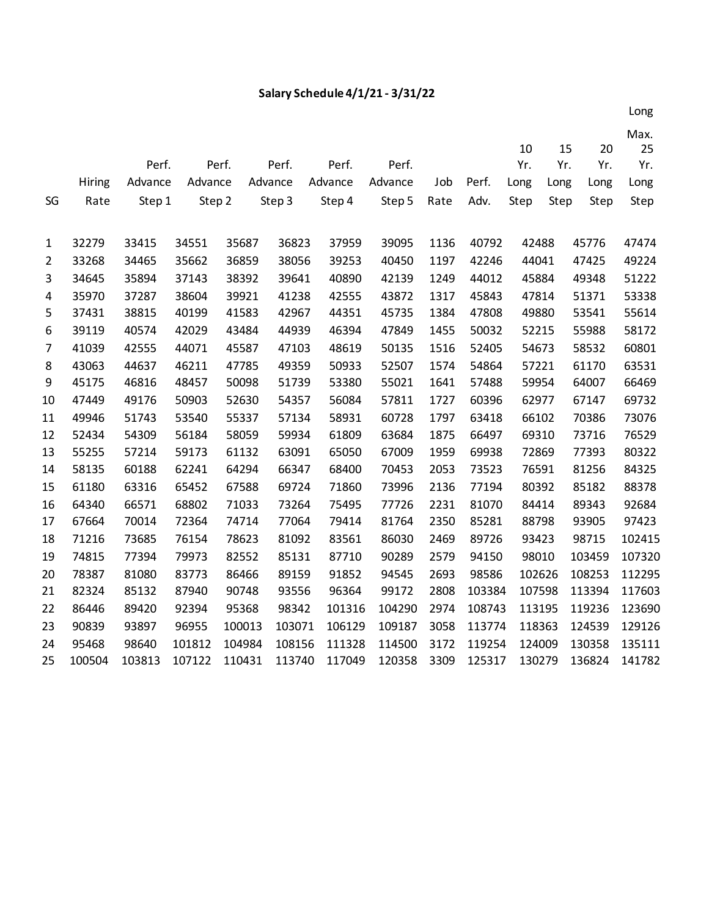## **Salary Schedule 4/1/21 - 3/31/22**

|                |               |         |         |        |         |         |         |      |        | 10     | 15   | 20     | 25     |
|----------------|---------------|---------|---------|--------|---------|---------|---------|------|--------|--------|------|--------|--------|
|                |               | Perf.   |         | Perf.  | Perf.   | Perf.   | Perf.   |      |        | Yr.    | Yr.  | Yr.    | Yr.    |
|                | <b>Hiring</b> | Advance | Advance |        | Advance | Advance | Advance | Job  | Perf.  | Long   | Long | Long   | Long   |
| SG             | Rate          | Step 1  | Step 2  |        | Step 3  | Step 4  | Step 5  | Rate | Adv.   | Step   | Step | Step   | Step   |
|                |               |         |         |        |         |         |         |      |        |        |      |        |        |
| 1              | 32279         | 33415   | 34551   | 35687  | 36823   | 37959   | 39095   | 1136 | 40792  | 42488  |      | 45776  | 47474  |
| $\overline{2}$ | 33268         | 34465   | 35662   | 36859  | 38056   | 39253   | 40450   | 1197 | 42246  | 44041  |      | 47425  | 49224  |
| 3              | 34645         | 35894   | 37143   | 38392  | 39641   | 40890   | 42139   | 1249 | 44012  | 45884  |      | 49348  | 51222  |
| 4              | 35970         | 37287   | 38604   | 39921  | 41238   | 42555   | 43872   | 1317 | 45843  | 47814  |      | 51371  | 53338  |
| 5              | 37431         | 38815   | 40199   | 41583  | 42967   | 44351   | 45735   | 1384 | 47808  | 49880  |      | 53541  | 55614  |
| 6              | 39119         | 40574   | 42029   | 43484  | 44939   | 46394   | 47849   | 1455 | 50032  | 52215  |      | 55988  | 58172  |
| 7              | 41039         | 42555   | 44071   | 45587  | 47103   | 48619   | 50135   | 1516 | 52405  | 54673  |      | 58532  | 60801  |
| 8              | 43063         | 44637   | 46211   | 47785  | 49359   | 50933   | 52507   | 1574 | 54864  | 57221  |      | 61170  | 63531  |
| 9              | 45175         | 46816   | 48457   | 50098  | 51739   | 53380   | 55021   | 1641 | 57488  | 59954  |      | 64007  | 66469  |
| 10             | 47449         | 49176   | 50903   | 52630  | 54357   | 56084   | 57811   | 1727 | 60396  | 62977  |      | 67147  | 69732  |
| 11             | 49946         | 51743   | 53540   | 55337  | 57134   | 58931   | 60728   | 1797 | 63418  | 66102  |      | 70386  | 73076  |
| 12             | 52434         | 54309   | 56184   | 58059  | 59934   | 61809   | 63684   | 1875 | 66497  | 69310  |      | 73716  | 76529  |
| 13             | 55255         | 57214   | 59173   | 61132  | 63091   | 65050   | 67009   | 1959 | 69938  | 72869  |      | 77393  | 80322  |
| 14             | 58135         | 60188   | 62241   | 64294  | 66347   | 68400   | 70453   | 2053 | 73523  | 76591  |      | 81256  | 84325  |
| 15             | 61180         | 63316   | 65452   | 67588  | 69724   | 71860   | 73996   | 2136 | 77194  | 80392  |      | 85182  | 88378  |
| 16             | 64340         | 66571   | 68802   | 71033  | 73264   | 75495   | 77726   | 2231 | 81070  | 84414  |      | 89343  | 92684  |
| 17             | 67664         | 70014   | 72364   | 74714  | 77064   | 79414   | 81764   | 2350 | 85281  | 88798  |      | 93905  | 97423  |
| 18             | 71216         | 73685   | 76154   | 78623  | 81092   | 83561   | 86030   | 2469 | 89726  | 93423  |      | 98715  | 102415 |
| 19             | 74815         | 77394   | 79973   | 82552  | 85131   | 87710   | 90289   | 2579 | 94150  | 98010  |      | 103459 | 107320 |
| 20             | 78387         | 81080   | 83773   | 86466  | 89159   | 91852   | 94545   | 2693 | 98586  | 102626 |      | 108253 | 112295 |
| 21             | 82324         | 85132   | 87940   | 90748  | 93556   | 96364   | 99172   | 2808 | 103384 | 107598 |      | 113394 | 117603 |
| 22             | 86446         | 89420   | 92394   | 95368  | 98342   | 101316  | 104290  | 2974 | 108743 | 113195 |      | 119236 | 123690 |
| 23             | 90839         | 93897   | 96955   | 100013 | 103071  | 106129  | 109187  | 3058 | 113774 | 118363 |      | 124539 | 129126 |
| 24             | 95468         | 98640   | 101812  | 104984 | 108156  | 111328  | 114500  | 3172 | 119254 | 124009 |      | 130358 | 135111 |
| 25             | 100504        | 103813  | 107122  | 110431 | 113740  | 117049  | 120358  | 3309 | 125317 | 130279 |      | 136824 | 141782 |

 $1.02 < 1.02 < 1.02 < 1.02 < 1.02 < 1.02 < 1.02 < 1.02 < 1.02 < 1.02 < 1.02 < 1.02 < 1.02 < 1.02 < 1.02 < 1.02 < 1.02 < 1.02 < 1.02 < 1.02 < 1.02 < 1.02 < 1.02 < 1.02 < 1.02 < 1.02 < 1.02 < 1.02 < 1.02 < 1.02 < 1.02 < 1.02 < 1.02 < 1.02 < 1.02 < 1.02 < 1.02$ Max.